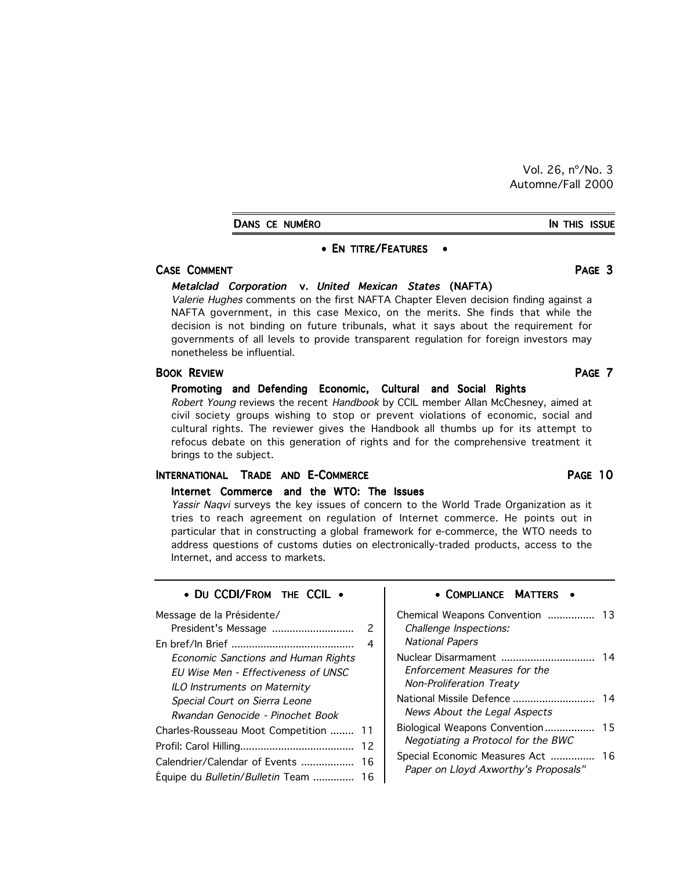Vol. 26, nº/No. 3 Automne/Fall 2000

DANS CE NUMÉRO **IN THIS ISSUE** 

#### • EN TITRE/FEATURES •

#### CASE COMMENT PAGE 3

#### Metalclad Corporation v. United Mexican States (NAFTA)

Valerie Hughes comments on the first NAFTA Chapter Eleven decision finding against a NAFTA government, in this case Mexico, on the merits. She finds that while the decision is not binding on future tribunals, what it says about the requirement for governments of all levels to provide transparent regulation for foreign investors may nonetheless be influential.

#### **BOOK REVIEW PAGE 7**

# Promoting and Defending Economic, Cultural and Social Rights Robert Young reviews the recent Handbook by CCIL member Allan McChesney, aimed at

civil society groups wishing to stop or prevent violations of economic, social and cultural rights. The reviewer gives the Handbook all thumbs up for its attempt to refocus debate on this generation of rights and for the comprehensive treatment it brings to the subject.

## INTERNATIONAL TRADE AND E-COMMERCE **AND SEARCH AND ACCEPT ACCEPT ACCEPT ACCEPT** PAGE 10

#### Internet Commerce and the WTO: The Issues

Yassir Naqvi surveys the key issues of concern to the World Trade Organization as it tries to reach agreement on regulation of Internet commerce. He points out in particular that in constructing a global framework for e-commerce, the WTO needs to address questions of customs duties on electronically-traded products, access to the Internet, and access to markets.

| • DU CCDI/FROM THE CCIL .                  |    |
|--------------------------------------------|----|
| Message de la Présidente/                  |    |
| President's Message                        | 2  |
|                                            | 4  |
| Economic Sanctions and Human Rights        |    |
| <b>EU Wise Men - Effectiveness of UNSC</b> |    |
| ILO Instruments on Maternity               |    |
| Special Court on Sierra Leone              |    |
| Rwandan Genocide - Pinochet Book           |    |
| Charles-Rousseau Moot Competition          | 11 |
|                                            | 12 |
| Calendrier/Calendar of Events              | 16 |
| Equipe du <i>Bulletin/Bulletin</i> Team    | 16 |

#### • COMPLIANCE MATTERS •

| Chemical Weapons Convention<br>Challenge Inspections:<br><b>National Papers</b>        | 13 |
|----------------------------------------------------------------------------------------|----|
| Nuclear Disarmament<br>Enforcement Measures for the<br><b>Non-Proliferation Treaty</b> | 14 |
| National Missile Defence<br>News About the Legal Aspects                               | 14 |
| Biological Weapons Convention<br>Negotiating a Protocol for the BWC                    | 15 |
| Special Economic Measures Act<br>Paper on Lloyd Axworthy's Proposals"                  | 16 |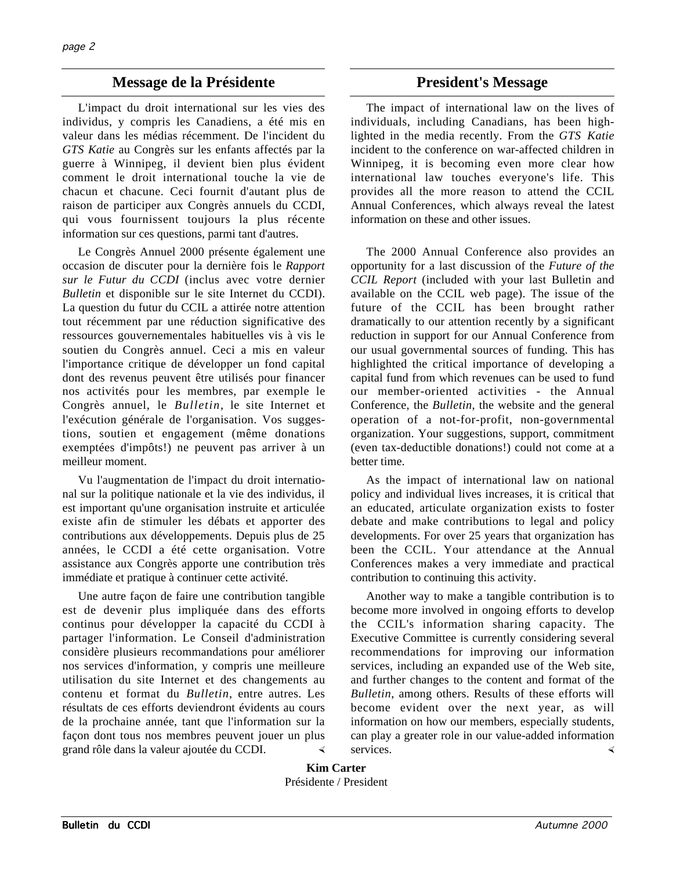# **Message de la Présidente President's Message**

L'impact du droit international sur les vies des individus, y compris les Canadiens, a été mis en valeur dans les médias récemment. De l'incident du *GTS Katie* au Congrès sur les enfants affectés par la guerre à Winnipeg, il devient bien plus évident comment le droit international touche la vie de chacun et chacune. Ceci fournit d'autant plus de raison de participer aux Congrès annuels du CCDI, qui vous fournissent toujours la plus récente information sur ces questions, parmi tant d'autres.

Le Congrès Annuel 2000 présente également une occasion de discuter pour la dernière fois le *Rapport sur le Futur du CCDI* (inclus avec votre dernier *Bulletin* et disponible sur le site Internet du CCDI). La question du futur du CCIL a attirée notre attention tout récemment par une réduction significative des ressources gouvernementales habituelles vis à vis le soutien du Congrès annuel. Ceci a mis en valeur l'importance critique de développer un fond capital dont des revenus peuvent être utilisés pour financer nos activités pour les membres, par exemple le Congrès annuel, le *Bulletin*, le site Internet et l'exécution générale de l'organisation. Vos suggestions, soutien et engagement (même donations exemptées d'impôts!) ne peuvent pas arriver à un meilleur moment.

Vu l'augmentation de l'impact du droit international sur la politique nationale et la vie des individus, il est important qu'une organisation instruite et articulée existe afin de stimuler les débats et apporter des contributions aux développements. Depuis plus de 25 années, le CCDI a été cette organisation. Votre assistance aux Congrès apporte une contribution très immédiate et pratique à continuer cette activité.

Une autre façon de faire une contribution tangible est de devenir plus impliquée dans des efforts continus pour développer la capacité du CCDI à partager l'information. Le Conseil d'administration considère plusieurs recommandations pour améliorer nos services d'information, y compris une meilleure utilisation du site Internet et des changements au contenu et format du *Bulletin*, entre autres. Les résultats de ces efforts deviendront évidents au cours de la prochaine année, tant que l'information sur la façon dont tous nos membres peuvent jouer un plus grand rôle dans la valeur ajoutée du CCDI.

The impact of international law on the lives of individuals, including Canadians, has been highlighted in the media recently. From the *GTS Katie* incident to the conference on war-affected children in Winnipeg, it is becoming even more clear how international law touches everyone's life. This provides all the more reason to attend the CCIL Annual Conferences, which always reveal the latest information on these and other issues.

The 2000 Annual Conference also provides an opportunity for a last discussion of the *Future of the CCIL Report* (included with your last Bulletin and available on the CCIL web page). The issue of the future of the CCIL has been brought rather dramatically to our attention recently by a significant reduction in support for our Annual Conference from our usual governmental sources of funding. This has highlighted the critical importance of developing a capital fund from which revenues can be used to fund our member-oriented activities - the Annual Conference, the *Bulletin*, the website and the general operation of a not-for-profit, non-governmental organization. Your suggestions, support, commitment (even tax-deductible donations!) could not come at a better time.

As the impact of international law on national policy and individual lives increases, it is critical that an educated, articulate organization exists to foster debate and make contributions to legal and policy developments. For over 25 years that organization has been the CCIL. Your attendance at the Annual Conferences makes a very immediate and practical contribution to continuing this activity.

Another way to make a tangible contribution is to become more involved in ongoing efforts to develop the CCIL's information sharing capacity. The Executive Committee is currently considering several recommendations for improving our information services, including an expanded use of the Web site, and further changes to the content and format of the *Bulletin*, among others. Results of these efforts will become evident over the next year, as will information on how our members, especially students, can play a greater role in our value-added information services.

**Kim Carter** Présidente / President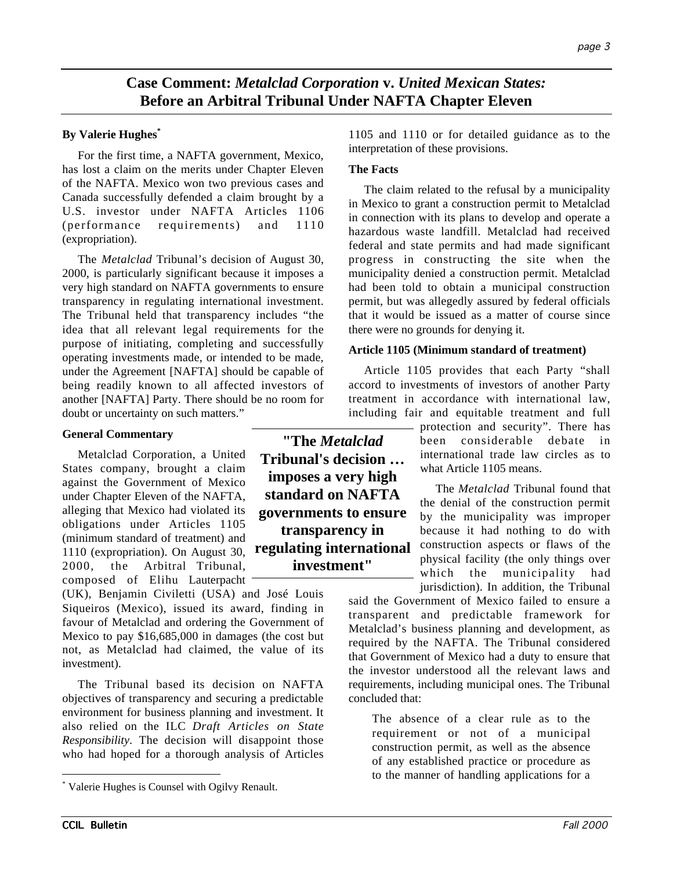# **Case Comment:** *Metalclad Corporation* **v.** *United Mexican States:* **Before an Arbitral Tribunal Under NAFTA Chapter Eleven**

#### **By Valerie Hughes\***

For the first time, a NAFTA government, Mexico, has lost a claim on the merits under Chapter Eleven of the NAFTA. Mexico won two previous cases and Canada successfully defended a claim brought by a U.S. investor under NAFTA Articles 1106 (performance requirements) and 1110 (expropriation).

The *Metalclad* Tribunal's decision of August 30, 2000, is particularly significant because it imposes a very high standard on NAFTA governments to ensure transparency in regulating international investment. The Tribunal held that transparency includes "the idea that all relevant legal requirements for the purpose of initiating, completing and successfully operating investments made, or intended to be made, under the Agreement [NAFTA] should be capable of being readily known to all affected investors of another [NAFTA] Party. There should be no room for doubt or uncertainty on such matters."

#### **General Commentary**

Metalclad Corporation, a United States company, brought a claim against the Government of Mexico under Chapter Eleven of the NAFTA, alleging that Mexico had violated its obligations under Articles 1105 (minimum standard of treatment) and 1110 (expropriation). On August 30, 2000, the Arbitral Tribunal, composed of Elihu Lauterpacht

(UK), Benjamin Civiletti (USA) and José Louis Siqueiros (Mexico), issued its award, finding in favour of Metalclad and ordering the Government of Mexico to pay \$16,685,000 in damages (the cost but not, as Metalclad had claimed, the value of its investment).

The Tribunal based its decision on NAFTA objectives of transparency and securing a predictable environment for business planning and investment. It also relied on the ILC *Draft Articles on State Responsibility*. The decision will disappoint those who had hoped for a thorough analysis of Articles

**"The** *Metalclad* **Tribunal's decision … imposes a very high standard on NAFTA governments to ensure transparency in regulating international investment"**

1105 and 1110 or for detailed guidance as to the interpretation of these provisions.

#### **The Facts**

The claim related to the refusal by a municipality in Mexico to grant a construction permit to Metalclad in connection with its plans to develop and operate a hazardous waste landfill. Metalclad had received federal and state permits and had made significant progress in constructing the site when the municipality denied a construction permit. Metalclad had been told to obtain a municipal construction permit, but was allegedly assured by federal officials that it would be issued as a matter of course since there were no grounds for denying it.

#### **Article 1105 (Minimum standard of treatment)**

Article 1105 provides that each Party "shall accord to investments of investors of another Party treatment in accordance with international law, including fair and equitable treatment and full

> protection and security". There has been considerable debate in international trade law circles as to what Article 1105 means.

> The *Metalclad* Tribunal found that the denial of the construction permit by the municipality was improper because it had nothing to do with construction aspects or flaws of the physical facility (the only things over which the municipality had jurisdiction). In addition, the Tribunal

said the Government of Mexico failed to ensure a transparent and predictable framework for Metalclad's business planning and development, as required by the NAFTA. The Tribunal considered that Government of Mexico had a duty to ensure that the investor understood all the relevant laws and requirements, including municipal ones. The Tribunal concluded that:

The absence of a clear rule as to the requirement or not of a municipal construction permit, as well as the absence of any established practice or procedure as to the manner of handling applications for a

 <sup>\*</sup> Valerie Hughes is Counsel with Ogilvy Renault.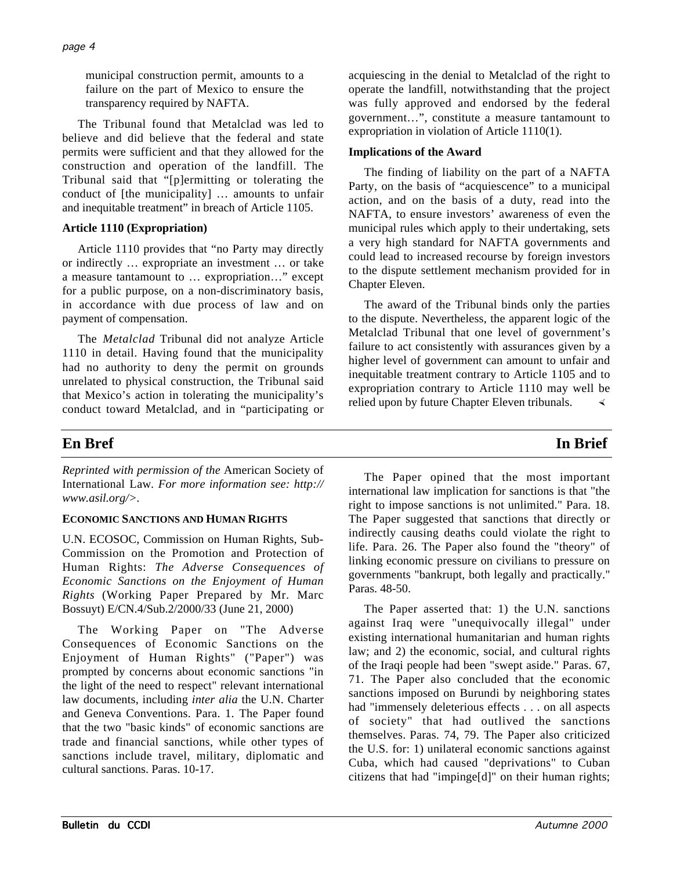municipal construction permit, amounts to a failure on the part of Mexico to ensure the transparency required by NAFTA.

The Tribunal found that Metalclad was led to believe and did believe that the federal and state permits were sufficient and that they allowed for the construction and operation of the landfill. The Tribunal said that "[p]ermitting or tolerating the conduct of [the municipality] … amounts to unfair and inequitable treatment" in breach of Article 1105.

## **Article 1110 (Expropriation)**

Article 1110 provides that "no Party may directly or indirectly … expropriate an investment … or take a measure tantamount to … expropriation…" except for a public purpose, on a non-discriminatory basis, in accordance with due process of law and on payment of compensation.

The *Metalclad* Tribunal did not analyze Article 1110 in detail. Having found that the municipality had no authority to deny the permit on grounds unrelated to physical construction, the Tribunal said that Mexico's action in tolerating the municipality's conduct toward Metalclad, and in "participating or

acquiescing in the denial to Metalclad of the right to operate the landfill, notwithstanding that the project was fully approved and endorsed by the federal government…", constitute a measure tantamount to expropriation in violation of Article 1110(1).

## **Implications of the Award**

The finding of liability on the part of a NAFTA Party, on the basis of "acquiescence" to a municipal action, and on the basis of a duty, read into the NAFTA, to ensure investors' awareness of even the municipal rules which apply to their undertaking, sets a very high standard for NAFTA governments and could lead to increased recourse by foreign investors to the dispute settlement mechanism provided for in Chapter Eleven.

The award of the Tribunal binds only the parties to the dispute. Nevertheless, the apparent logic of the Metalclad Tribunal that one level of government's failure to act consistently with assurances given by a higher level of government can amount to unfair and inequitable treatment contrary to Article 1105 and to expropriation contrary to Article 1110 may well be relied upon by future Chapter Eleven tribunals.

# **En Bref In Brief**

*Reprinted with permission of the* American Society of International Law*. For more information see: http:// www.asil.org/>.*

## **ECONOMIC SANCTIONS AND HUMAN RIGHTS**

U.N. ECOSOC, Commission on Human Rights, Sub-Commission on the Promotion and Protection of Human Rights: *The Adverse Consequences of Economic Sanctions on the Enjoyment of Human Rights* (Working Paper Prepared by Mr. Marc Bossuyt) E/CN.4/Sub.2/2000/33 (June 21, 2000)

The Working Paper on "The Adverse Consequences of Economic Sanctions on the Enjoyment of Human Rights" ("Paper") was prompted by concerns about economic sanctions "in the light of the need to respect" relevant international law documents, including *inter alia* the U.N. Charter and Geneva Conventions. Para. 1. The Paper found that the two "basic kinds" of economic sanctions are trade and financial sanctions, while other types of sanctions include travel, military, diplomatic and cultural sanctions. Paras. 10-17.

The Paper opined that the most important international law implication for sanctions is that "the right to impose sanctions is not unlimited." Para. 18. The Paper suggested that sanctions that directly or indirectly causing deaths could violate the right to life. Para. 26. The Paper also found the "theory" of linking economic pressure on civilians to pressure on governments "bankrupt, both legally and practically." Paras. 48-50.

The Paper asserted that: 1) the U.N. sanctions against Iraq were "unequivocally illegal" under existing international humanitarian and human rights law; and 2) the economic, social, and cultural rights of the Iraqi people had been "swept aside." Paras. 67, 71. The Paper also concluded that the economic sanctions imposed on Burundi by neighboring states had "immensely deleterious effects . . . on all aspects of society" that had outlived the sanctions themselves. Paras. 74, 79. The Paper also criticized the U.S. for: 1) unilateral economic sanctions against Cuba, which had caused "deprivations" to Cuban citizens that had "impinge[d]" on their human rights;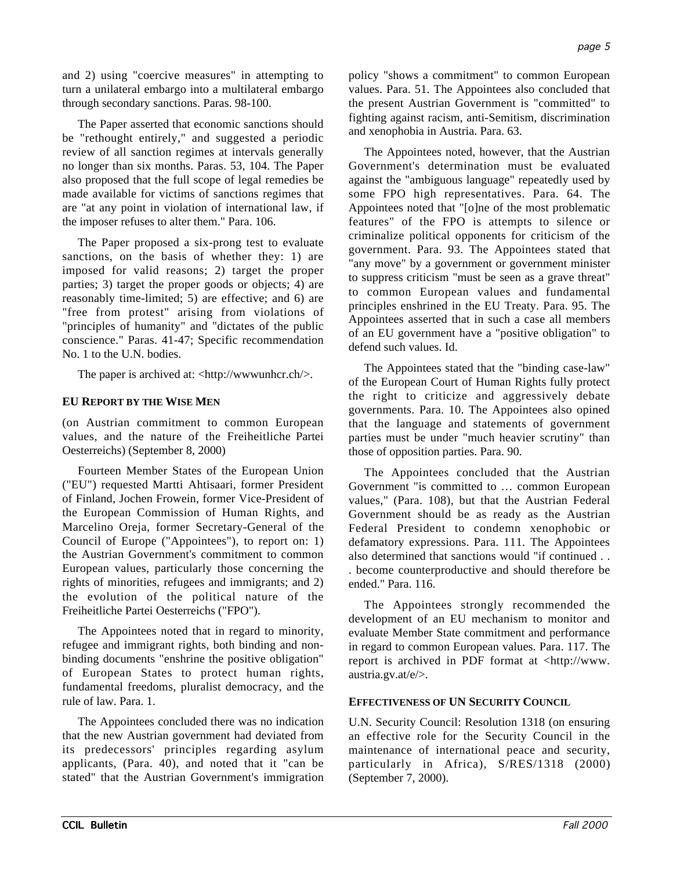and 2) using "coercive measures" in attempting to turn a unilateral embargo into a multilateral embargo through secondary sanctions. Paras. 98-100.

The Paper asserted that economic sanctions should be "rethought entirely," and suggested a periodic review of all sanction regimes at intervals generally no longer than six months. Paras. 53, 104. The Paper also proposed that the full scope of legal remedies be made available for victims of sanctions regimes that are "at any point in violation of international law, if the imposer refuses to alter them." Para. 106.

The Paper proposed a six-prong test to evaluate sanctions, on the basis of whether they: 1) are imposed for valid reasons; 2) target the proper parties; 3) target the proper goods or objects; 4) are reasonably time-limited; 5) are effective; and 6) are "free from protest" arising from violations of "principles of humanity" and "dictates of the public conscience." Paras. 41-47; Specific recommendation No. 1 to the U.N. bodies.

The paper is archived at: <http://www.unhcr.ch/>.

## **EU REPORT BY THE WISE MEN**

(on Austrian commitment to common European values, and the nature of the Freiheitliche Partei Oesterreichs) (September 8, 2000)

Fourteen Member States of the European Union ("EU") requested Martti Ahtisaari, former President of Finland, Jochen Frowein, former Vice-President of the European Commission of Human Rights, and Marcelino Oreja, former Secretary-General of the Council of Europe ("Appointees"), to report on: 1) the Austrian Government's commitment to common European values, particularly those concerning the rights of minorities, refugees and immigrants; and 2) the evolution of the political nature of the Freiheitliche Partei Oesterreichs ("FPO").

The Appointees noted that in regard to minority, refugee and immigrant rights, both binding and nonbinding documents "enshrine the positive obligation" of European States to protect human rights, fundamental freedoms, pluralist democracy, and the rule of law. Para. 1.

The Appointees concluded there was no indication that the new Austrian government had deviated from its predecessors' principles regarding asylum applicants, (Para. 40), and noted that it "can be stated" that the Austrian Government's immigration

policy "shows a commitment" to common European values. Para. 51. The Appointees also concluded that the present Austrian Government is "committed" to fighting against racism, anti-Semitism, discrimination and xenophobia in Austria. Para. 63.

The Appointees noted, however, that the Austrian Government's determination must be evaluated against the "ambiguous language" repeatedly used by some FPO high representatives. Para. 64. The Appointees noted that "[o]ne of the most problematic features" of the FPO is attempts to silence or criminalize political opponents for criticism of the government. Para. 93. The Appointees stated that "any move" by a government or government minister to suppress criticism "must be seen as a grave threat" to common European values and fundamental principles enshrined in the EU Treaty. Para. 95. The Appointees asserted that in such a case all members of an EU government have a "positive obligation" to defend such values. Id.

The Appointees stated that the "binding case-law" of the European Court of Human Rights fully protect the right to criticize and aggressively debate governments. Para. 10. The Appointees also opined that the language and statements of government parties must be under "much heavier scrutiny" than those of opposition parties. Para. 90.

The Appointees concluded that the Austrian Government "is committed to … common European values," (Para. 108), but that the Austrian Federal Government should be as ready as the Austrian Federal President to condemn xenophobic or defamatory expressions. Para. 111. The Appointees also determined that sanctions would "if continued . . . become counterproductive and should therefore be ended." Para. 116.

The Appointees strongly recommended the development of an EU mechanism to monitor and evaluate Member State commitment and performance in regard to common European values. Para. 117. The report is archived in PDF format at <http://www. austria.gv.at/e/>.

## **EFFECTIVENESS OF UN SECURITY COUNCIL**

U.N. Security Council: Resolution 1318 (on ensuring an effective role for the Security Council in the maintenance of international peace and security, particularly in Africa), S/RES/1318 (2000) (September 7, 2000).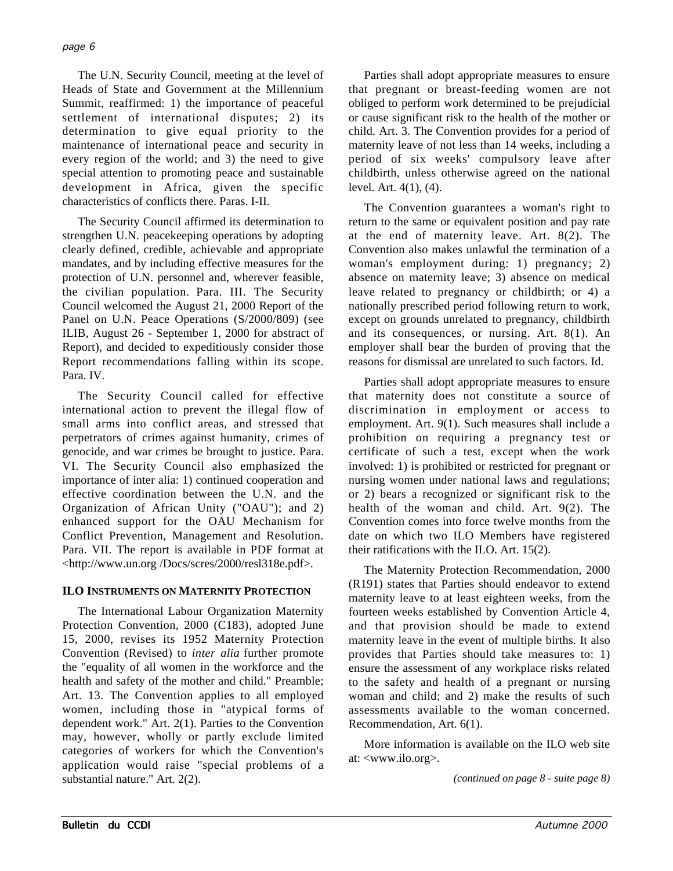The U.N. Security Council, meeting at the level of Heads of State and Government at the Millennium Summit, reaffirmed: 1) the importance of peaceful settlement of international disputes; 2) its determination to give equal priority to the maintenance of international peace and security in every region of the world; and 3) the need to give special attention to promoting peace and sustainable development in Africa, given the specific characteristics of conflicts there. Paras. I-II.

The Security Council affirmed its determination to strengthen U.N. peacekeeping operations by adopting clearly defined, credible, achievable and appropriate mandates, and by including effective measures for the protection of U.N. personnel and, wherever feasible, the civilian population. Para. III. The Security Council welcomed the August 21, 2000 Report of the Panel on U.N. Peace Operations (S/2000/809) (see ILIB, August 26 - September 1, 2000 for abstract of Report), and decided to expeditiously consider those Report recommendations falling within its scope. Para. IV.

The Security Council called for effective international action to prevent the illegal flow of small arms into conflict areas, and stressed that perpetrators of crimes against humanity, crimes of genocide, and war crimes be brought to justice. Para. VI. The Security Council also emphasized the importance of inter alia: 1) continued cooperation and effective coordination between the U.N. and the Organization of African Unity ("OAU"); and 2) enhanced support for the OAU Mechanism for Conflict Prevention, Management and Resolution. Para. VII. The report is available in PDF format at <http://www.un.org /Docs/scres/2000/resl318e.pdf>.

### **ILO INSTRUMENTS ON MATERNITY PROTECTION**

The International Labour Organization Maternity Protection Convention, 2000 (C183), adopted June 15, 2000, revises its 1952 Maternity Protection Convention (Revised) to *inter alia* further promote the "equality of all women in the workforce and the health and safety of the mother and child." Preamble; Art. 13. The Convention applies to all employed women, including those in "atypical forms of dependent work." Art. 2(1). Parties to the Convention may, however, wholly or partly exclude limited categories of workers for which the Convention's application would raise "special problems of a substantial nature." Art. 2(2).

Parties shall adopt appropriate measures to ensure that pregnant or breast-feeding women are not obliged to perform work determined to be prejudicial or cause significant risk to the health of the mother or child. Art. 3. The Convention provides for a period of maternity leave of not less than 14 weeks, including a period of six weeks' compulsory leave after childbirth, unless otherwise agreed on the national level. Art. 4(1), (4).

The Convention guarantees a woman's right to return to the same or equivalent position and pay rate at the end of maternity leave. Art. 8(2). The Convention also makes unlawful the termination of a woman's employment during: 1) pregnancy; 2) absence on maternity leave; 3) absence on medical leave related to pregnancy or childbirth; or 4) a nationally prescribed period following return to work, except on grounds unrelated to pregnancy, childbirth and its consequences, or nursing. Art. 8(1). An employer shall bear the burden of proving that the reasons for dismissal are unrelated to such factors. Id.

Parties shall adopt appropriate measures to ensure that maternity does not constitute a source of discrimination in employment or access to employment. Art. 9(1). Such measures shall include a prohibition on requiring a pregnancy test or certificate of such a test, except when the work involved: 1) is prohibited or restricted for pregnant or nursing women under national laws and regulations; or 2) bears a recognized or significant risk to the health of the woman and child. Art. 9(2). The Convention comes into force twelve months from the date on which two ILO Members have registered their ratifications with the ILO. Art. 15(2).

The Maternity Protection Recommendation, 2000 (R191) states that Parties should endeavor to extend maternity leave to at least eighteen weeks, from the fourteen weeks established by Convention Article 4, and that provision should be made to extend maternity leave in the event of multiple births. It also provides that Parties should take measures to: 1) ensure the assessment of any workplace risks related to the safety and health of a pregnant or nursing woman and child; and 2) make the results of such assessments available to the woman concerned. Recommendation, Art. 6(1).

More information is available on the ILO web site at: <www.ilo.org>.

*(continued on page 8 - suite page 8)*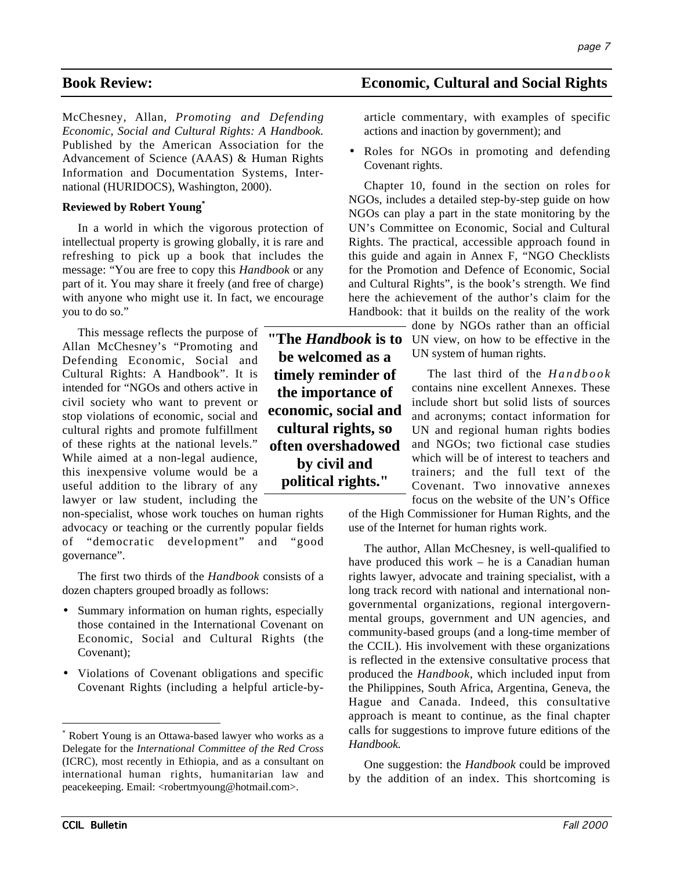McChesney, Allan, *Promoting and Defending Economic, Social and Cultural Rights: A Handbook.* Published by the American Association for the Advancement of Science (AAAS) & Human Rights Information and Documentation Systems, International (HURIDOCS), Washington, 2000).

#### **Reviewed by Robert Young\***

In a world in which the vigorous protection of intellectual property is growing globally, it is rare and refreshing to pick up a book that includes the message: "You are free to copy this *Handbook* or any part of it. You may share it freely (and free of charge) with anyone who might use it. In fact, we encourage you to do so."

This message reflects the purpose of Allan McChesney's "Promoting and Defending Economic, Social and Cultural Rights: A Handbook". It is intended for "NGOs and others active in civil society who want to prevent or stop violations of economic, social and cultural rights and promote fulfillment of these rights at the national levels." While aimed at a non-legal audience, this inexpensive volume would be a useful addition to the library of any lawyer or law student, including the

non-specialist, whose work touches on human rights advocacy or teaching or the currently popular fields of "democratic development" and "good governance".

The first two thirds of the *Handbook* consists of a dozen chapters grouped broadly as follows:

- Summary information on human rights, especially those contained in the International Covenant on Economic, Social and Cultural Rights (the Covenant);
- Violations of Covenant obligations and specific Covenant Rights (including a helpful article-by-

**be welcomed as a timely reminder of the importance of economic, social and cultural rights, so often overshadowed by civil and political rights."**

# **Book Review: Economic, Cultural and Social Rights**

article commentary, with examples of specific actions and inaction by government); and

• Roles for NGOs in promoting and defending Covenant rights.

Chapter 10, found in the section on roles for NGOs, includes a detailed step-by-step guide on how NGOs can play a part in the state monitoring by the UN's Committee on Economic, Social and Cultural Rights. The practical, accessible approach found in this guide and again in Annex F, "NGO Checklists for the Promotion and Defence of Economic, Social and Cultural Rights", is the book's strength. We find here the achievement of the author's claim for the Handbook: that it builds on the reality of the work

done by NGOs rather than an official **"The Handbook is to** UN view, on how to be effective in the UN system of human rights.

> The last third of the *Handbook* contains nine excellent Annexes. These include short but solid lists of sources and acronyms; contact information for UN and regional human rights bodies and NGOs; two fictional case studies which will be of interest to teachers and trainers; and the full text of the Covenant. Two innovative annexes focus on the website of the UN's Office

of the High Commissioner for Human Rights, and the use of the Internet for human rights work.

The author, Allan McChesney, is well-qualified to have produced this work – he is a Canadian human rights lawyer, advocate and training specialist, with a long track record with national and international nongovernmental organizations, regional intergovernmental groups, government and UN agencies, and community-based groups (and a long-time member of the CCIL). His involvement with these organizations is reflected in the extensive consultative process that produced the *Handbook*, which included input from the Philippines, South Africa, Argentina, Geneva, the Hague and Canada. Indeed, this consultative approach is meant to continue, as the final chapter calls for suggestions to improve future editions of the *Handbook.*

One suggestion: the *Handbook* could be improved by the addition of an index. This shortcoming is

 <sup>\*</sup> Robert Young is an Ottawa-based lawyer who works as a Delegate for the *International Committee of the Red Cross* (ICRC), most recently in Ethiopia, and as a consultant on international human rights, humanitarian law and peacekeeping. Email: <robertmyoung@hotmail.com>.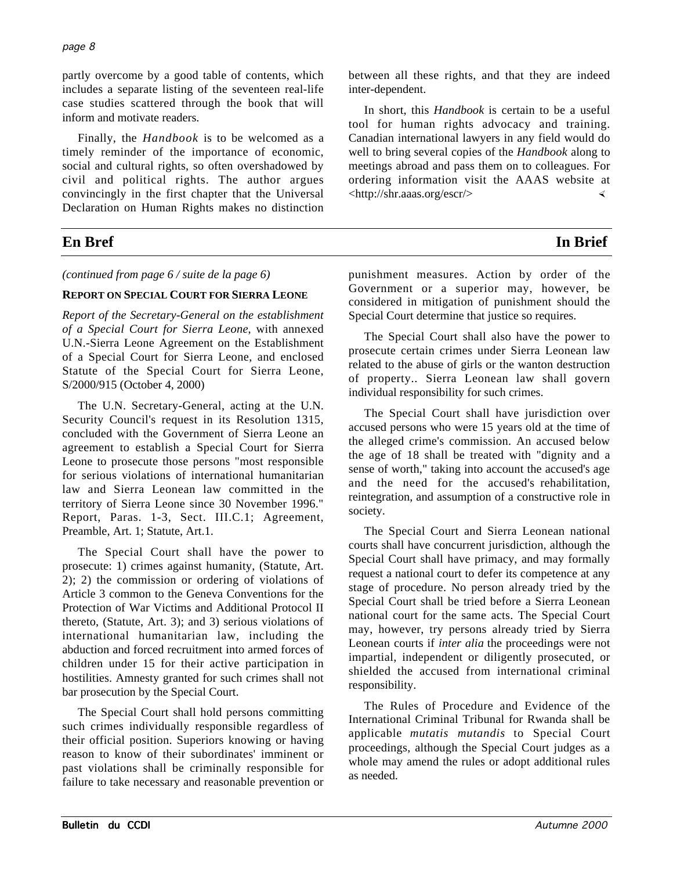partly overcome by a good table of contents, which includes a separate listing of the seventeen real-life case studies scattered through the book that will inform and motivate readers.

Finally, the *Handbook* is to be welcomed as a timely reminder of the importance of economic, social and cultural rights, so often overshadowed by civil and political rights. The author argues convincingly in the first chapter that the Universal Declaration on Human Rights makes no distinction

# **En Bref In Brief**

*(continued from page 6 / suite de la page 6)*

### **REPORT ON SPECIAL COURT FOR SIERRA LEONE**

*Report of the Secretary-General on the establishment of a Special Court for Sierra Leone*, with annexed U.N.-Sierra Leone Agreement on the Establishment of a Special Court for Sierra Leone, and enclosed Statute of the Special Court for Sierra Leone, S/2000/915 (October 4, 2000)

The U.N. Secretary-General, acting at the U.N. Security Council's request in its Resolution 1315, concluded with the Government of Sierra Leone an agreement to establish a Special Court for Sierra Leone to prosecute those persons "most responsible for serious violations of international humanitarian law and Sierra Leonean law committed in the territory of Sierra Leone since 30 November 1996." Report, Paras. 1-3, Sect. III.C.1; Agreement, Preamble, Art. 1; Statute, Art.1.

The Special Court shall have the power to prosecute: 1) crimes against humanity, (Statute, Art. 2); 2) the commission or ordering of violations of Article 3 common to the Geneva Conventions for the Protection of War Victims and Additional Protocol II thereto, (Statute, Art. 3); and 3) serious violations of international humanitarian law, including the abduction and forced recruitment into armed forces of children under 15 for their active participation in hostilities. Amnesty granted for such crimes shall not bar prosecution by the Special Court.

The Special Court shall hold persons committing such crimes individually responsible regardless of their official position. Superiors knowing or having reason to know of their subordinates' imminent or past violations shall be criminally responsible for failure to take necessary and reasonable prevention or

between all these rights, and that they are indeed inter-dependent.

In short, this *Handbook* is certain to be a useful tool for human rights advocacy and training. Canadian international lawyers in any field would do well to bring several copies of the *Handbook* along to meetings abroad and pass them on to colleagues. For ordering information visit the AAAS website at <http://shr.aaas.org/escr/>

punishment measures. Action by order of the Government or a superior may, however, be considered in mitigation of punishment should the Special Court determine that justice so requires.

The Special Court shall also have the power to prosecute certain crimes under Sierra Leonean law related to the abuse of girls or the wanton destruction of property.. Sierra Leonean law shall govern individual responsibility for such crimes.

The Special Court shall have jurisdiction over accused persons who were 15 years old at the time of the alleged crime's commission. An accused below the age of 18 shall be treated with "dignity and a sense of worth," taking into account the accused's age and the need for the accused's rehabilitation, reintegration, and assumption of a constructive role in society.

The Special Court and Sierra Leonean national courts shall have concurrent jurisdiction, although the Special Court shall have primacy, and may formally request a national court to defer its competence at any stage of procedure. No person already tried by the Special Court shall be tried before a Sierra Leonean national court for the same acts. The Special Court may, however, try persons already tried by Sierra Leonean courts if *inter alia* the proceedings were not impartial, independent or diligently prosecuted, or shielded the accused from international criminal responsibility.

The Rules of Procedure and Evidence of the International Criminal Tribunal for Rwanda shall be applicable *mutatis mutandis* to Special Court proceedings, although the Special Court judges as a whole may amend the rules or adopt additional rules as needed.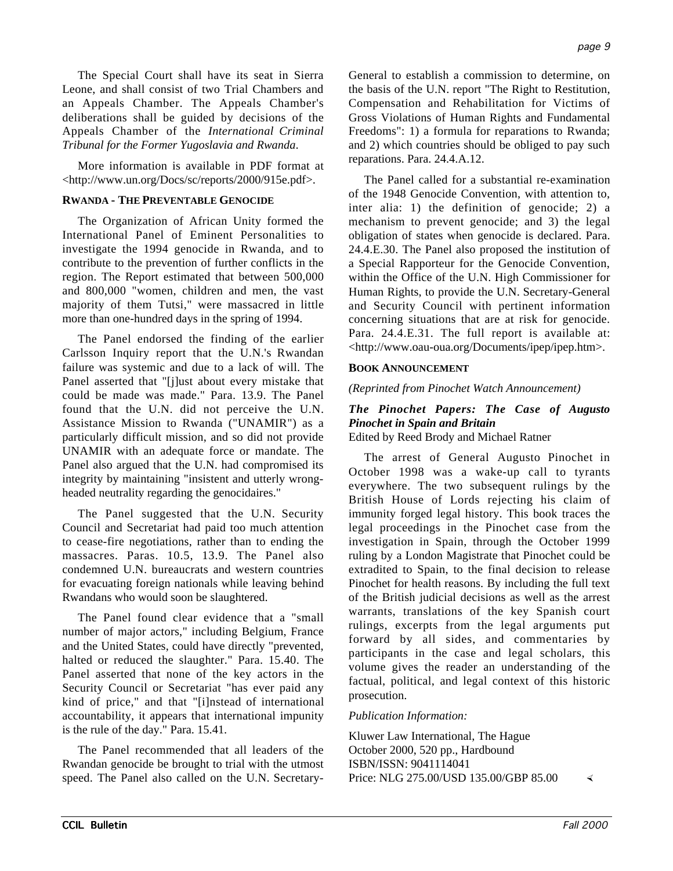The Special Court shall have its seat in Sierra Leone, and shall consist of two Trial Chambers and an Appeals Chamber. The Appeals Chamber's deliberations shall be guided by decisions of the Appeals Chamber of the *International Criminal Tribunal for the Former Yugoslavia and Rwanda*.

More information is available in PDF format at <http://www.un.org/Docs/sc/reports/2000/915e.pdf>.

### **RWANDA - THE PREVENTABLE GENOCIDE**

The Organization of African Unity formed the International Panel of Eminent Personalities to investigate the 1994 genocide in Rwanda, and to contribute to the prevention of further conflicts in the region. The Report estimated that between 500,000 and 800,000 "women, children and men, the vast majority of them Tutsi," were massacred in little more than one-hundred days in the spring of 1994.

The Panel endorsed the finding of the earlier Carlsson Inquiry report that the U.N.'s Rwandan failure was systemic and due to a lack of will. The Panel asserted that "[j]ust about every mistake that could be made was made." Para. 13.9. The Panel found that the U.N. did not perceive the U.N. Assistance Mission to Rwanda ("UNAMIR") as a particularly difficult mission, and so did not provide UNAMIR with an adequate force or mandate. The Panel also argued that the U.N. had compromised its integrity by maintaining "insistent and utterly wrongheaded neutrality regarding the genocidaires."

The Panel suggested that the U.N. Security Council and Secretariat had paid too much attention to cease-fire negotiations, rather than to ending the massacres. Paras. 10.5, 13.9. The Panel also condemned U.N. bureaucrats and western countries for evacuating foreign nationals while leaving behind Rwandans who would soon be slaughtered.

The Panel found clear evidence that a "small number of major actors," including Belgium, France and the United States, could have directly "prevented, halted or reduced the slaughter." Para. 15.40. The Panel asserted that none of the key actors in the Security Council or Secretariat "has ever paid any kind of price," and that "[i]nstead of international accountability, it appears that international impunity is the rule of the day." Para. 15.41.

The Panel recommended that all leaders of the Rwandan genocide be brought to trial with the utmost speed. The Panel also called on the U.N. SecretaryGeneral to establish a commission to determine, on the basis of the U.N. report "The Right to Restitution, Compensation and Rehabilitation for Victims of Gross Violations of Human Rights and Fundamental Freedoms": 1) a formula for reparations to Rwanda; and 2) which countries should be obliged to pay such reparations. Para. 24.4.A.12.

The Panel called for a substantial re-examination of the 1948 Genocide Convention, with attention to, inter alia: 1) the definition of genocide; 2) a mechanism to prevent genocide; and 3) the legal obligation of states when genocide is declared. Para. 24.4.E.30. The Panel also proposed the institution of a Special Rapporteur for the Genocide Convention, within the Office of the U.N. High Commissioner for Human Rights, to provide the U.N. Secretary-General and Security Council with pertinent information concerning situations that are at risk for genocide. Para. 24.4.E.31. The full report is available at: <http://www.oau-oua.org/Documents/ipep/ipep.htm>.

#### **BOOK ANNOUNCEMENT**

*(Reprinted from Pinochet Watch Announcement)*

#### *The Pinochet Papers: The Case of Augusto Pinochet in Spain and Britain* Edited by Reed Brody and Michael Ratner

The arrest of General Augusto Pinochet in October 1998 was a wake-up call to tyrants everywhere. The two subsequent rulings by the British House of Lords rejecting his claim of immunity forged legal history. This book traces the legal proceedings in the Pinochet case from the investigation in Spain, through the October 1999 ruling by a London Magistrate that Pinochet could be extradited to Spain, to the final decision to release Pinochet for health reasons. By including the full text of the British judicial decisions as well as the arrest warrants, translations of the key Spanish court rulings, excerpts from the legal arguments put forward by all sides, and commentaries by participants in the case and legal scholars, this volume gives the reader an understanding of the factual, political, and legal context of this historic prosecution.

### *Publication Information:*

Kluwer Law International, The Hague October 2000, 520 pp., Hardbound ISBN/ISSN: 9041114041 Price: NLG 275.00/USD 135.00/GBP 85.00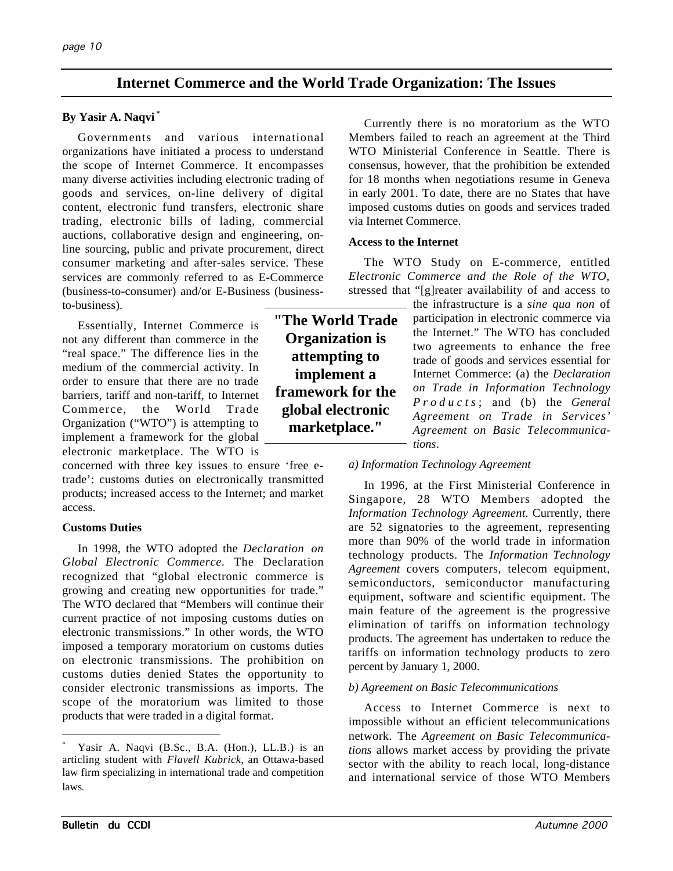# **Internet Commerce and the World Trade Organization: The Issues**

### **By Yasir A. Naqvi \***

Governments and various international organizations have initiated a process to understand the scope of Internet Commerce. It encompasses many diverse activities including electronic trading of goods and services, on-line delivery of digital content, electronic fund transfers, electronic share trading, electronic bills of lading, commercial auctions, collaborative design and engineering, online sourcing, public and private procurement, direct consumer marketing and after-sales service. These services are commonly referred to as E-Commerce (business-to-consumer) and/or E-Business (businessto-business).

Essentially, Internet Commerce is not any different than commerce in the "real space." The difference lies in the medium of the commercial activity. In order to ensure that there are no trade barriers, tariff and non-tariff, to Internet Commerce, the World Trade Organization ("WTO") is attempting to implement a framework for the global electronic marketplace. The WTO is

concerned with three key issues to ensure 'free etrade': customs duties on electronically transmitted products; increased access to the Internet; and market access.

### **Customs Duties**

In 1998, the WTO adopted the *Declaration on Global Electronic Commerce*. The Declaration recognized that "global electronic commerce is growing and creating new opportunities for trade." The WTO declared that "Members will continue their current practice of not imposing customs duties on electronic transmissions." In other words, the WTO imposed a temporary moratorium on customs duties on electronic transmissions. The prohibition on customs duties denied States the opportunity to consider electronic transmissions as imports. The scope of the moratorium was limited to those products that were traded in a digital format.

Currently there is no moratorium as the WTO Members failed to reach an agreement at the Third WTO Ministerial Conference in Seattle. There is consensus, however, that the prohibition be extended for 18 months when negotiations resume in Geneva in early 2001. To date, there are no States that have imposed customs duties on goods and services traded via Internet Commerce.

### **Access to the Internet**

The WTO Study on E-commerce, entitled *Electronic Commerce and the Role of the WTO*, stressed that "[g]reater availability of and access to

the infrastructure is a *sine qua non* of participation in electronic commerce via the Internet." The WTO has concluded two agreements to enhance the free trade of goods and services essential for Internet Commerce: (a) the *Declaration on Trade in Information Technology Products* ; and (b) the *General Agreement on Trade in Services' Agreement on Basic Telecommunications*.

## *a) Information Technology Agreement*

In 1996, at the First Ministerial Conference in Singapore, 28 WTO Members adopted the *Information Technology Agreement*. Currently, there are 52 signatories to the agreement, representing more than 90% of the world trade in information technology products. The *Information Technology Agreement* covers computers, telecom equipment, semiconductors, semiconductor manufacturing equipment, software and scientific equipment. The main feature of the agreement is the progressive elimination of tariffs on information technology products. The agreement has undertaken to reduce the tariffs on information technology products to zero percent by January 1, 2000.

### *b) Agreement on Basic Telecommunications*

Access to Internet Commerce is next to impossible without an efficient telecommunications network. The *Agreement on Basic Telecommunications* allows market access by providing the private sector with the ability to reach local, long-distance and international service of those WTO Members

**"The World Trade Organization is attempting to implement a framework for the global electronic marketplace."**

Yasir A. Naqvi (B.Sc., B.A. (Hon.), LL.B.) is an articling student with *Flavell Kubrick*, an Ottawa-based law firm specializing in international trade and competition laws*.*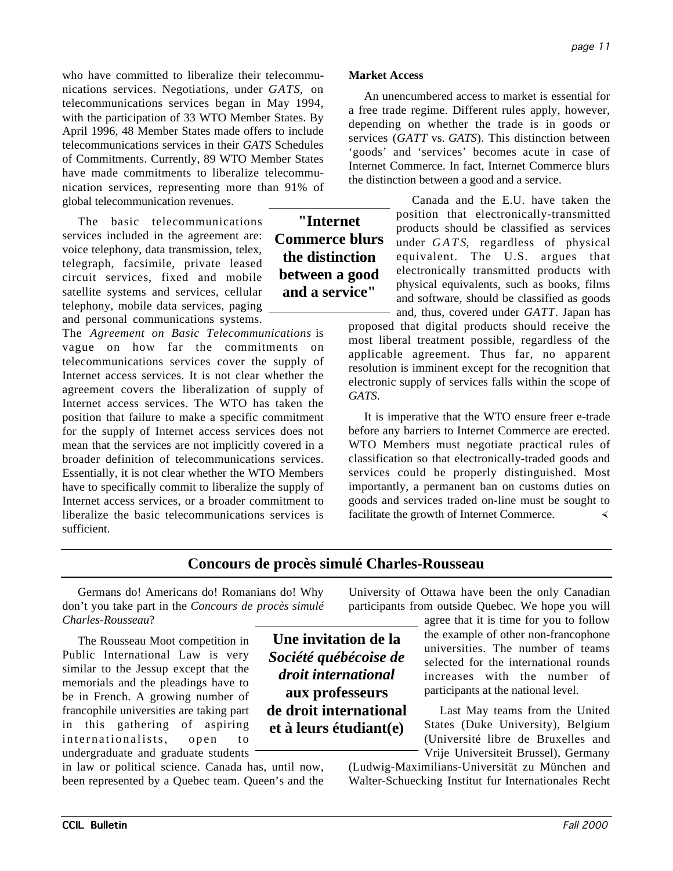who have committed to liberalize their telecommunications services. Negotiations, under *GATS*, on telecommunications services began in May 1994, with the participation of 33 WTO Member States. By April 1996, 48 Member States made offers to include telecommunications services in their *GATS* Schedules of Commitments. Currently, 89 WTO Member States have made commitments to liberalize telecommunication services, representing more than 91% of global telecommunication revenues.

The basic telecommunications services included in the agreement are: voice telephony, data transmission, telex, telegraph, facsimile, private leased circuit services, fixed and mobile satellite systems and services, cellular telephony, mobile data services, paging and personal communications systems.

The *Agreement on Basic Telecommunications* is vague on how far the commitments on telecommunications services cover the supply of Internet access services. It is not clear whether the agreement covers the liberalization of supply of Internet access services. The WTO has taken the position that failure to make a specific commitment for the supply of Internet access services does not mean that the services are not implicitly covered in a broader definition of telecommunications services. Essentially, it is not clear whether the WTO Members have to specifically commit to liberalize the supply of Internet access services, or a broader commitment to liberalize the basic telecommunications services is sufficient.

**"Internet Commerce blurs the distinction between a good and a service"**

## **Market Access**

An unencumbered access to market is essential for a free trade regime. Different rules apply, however, depending on whether the trade is in goods or services (*GATT* vs. *GATS*). This distinction between 'goods' and 'services' becomes acute in case of Internet Commerce. In fact, Internet Commerce blurs the distinction between a good and a service.

> Canada and the E.U. have taken the position that electronically-transmitted products should be classified as services under *GATS*, regardless of physical equivalent. The U.S. argues that electronically transmitted products with physical equivalents, such as books, films and software, should be classified as goods

and, thus, covered under *GATT*. Japan has proposed that digital products should receive the most liberal treatment possible, regardless of the applicable agreement. Thus far, no apparent resolution is imminent except for the recognition that electronic supply of services falls within the scope of *GATS*.

It is imperative that the WTO ensure freer e-trade before any barriers to Internet Commerce are erected. WTO Members must negotiate practical rules of classification so that electronically-traded goods and services could be properly distinguished. Most importantly, a permanent ban on customs duties on goods and services traded on-line must be sought to facilitate the growth of Internet Commerce.

# **Concours de procès simulé Charles-Rousseau**

Germans do! Americans do! Romanians do! Why don't you take part in the *Concours de procès simulé Charles-Rousseau*?

The Rousseau Moot competition in Public International Law is very similar to the Jessup except that the memorials and the pleadings have to be in French. A growing number of francophile universities are taking part in this gathering of aspiring internationalists, open to undergraduate and graduate students

in law or political science. Canada has, until now, been represented by a Quebec team. Queen's and the

**Une invitation de la** *Société québécoise de droit international* **aux professeurs de droit international et à leurs étudiant(e)**

University of Ottawa have been the only Canadian participants from outside Quebec. We hope you will

agree that it is time for you to follow the example of other non-francophone universities. The number of teams selected for the international rounds increases with the number of participants at the national level.

Last May teams from the United States (Duke University), Belgium (Université libre de Bruxelles and Vrije Universiteit Brussel), Germany

(Ludwig-Maximilians-Universität zu München and Walter-Schuecking Institut fur Internationales Recht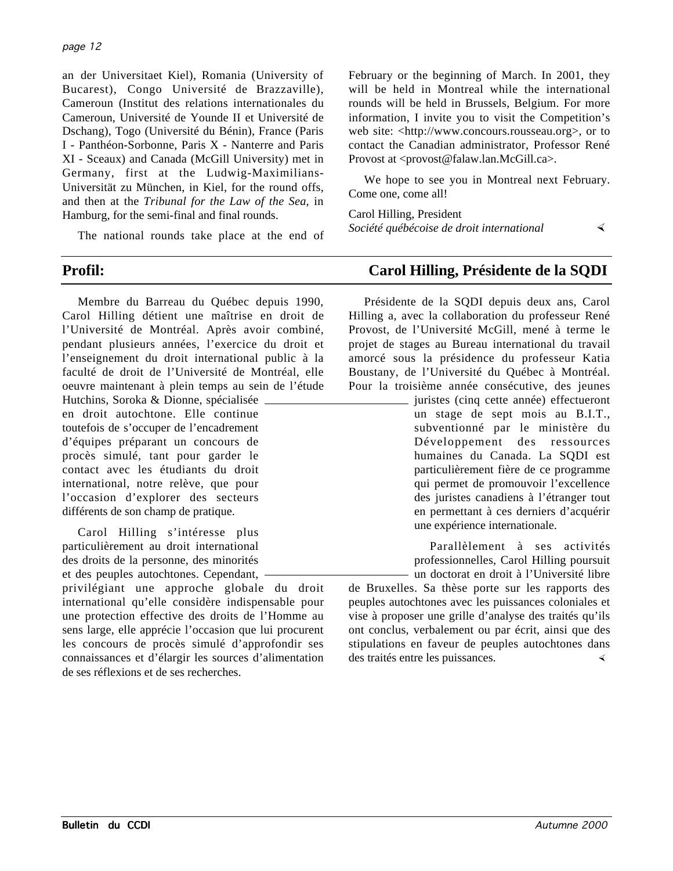### page 12

an der Universitaet Kiel), Romania (University of Bucarest), Congo Université de Brazzaville), Cameroun (Institut des relations internationales du Cameroun, Université de Younde II et Université de Dschang), Togo (Université du Bénin), France (Paris I - Panthéon-Sorbonne, Paris X - Nanterre and Paris XI - Sceaux) and Canada (McGill University) met in Germany, first at the Ludwig-Maximilians-Universität zu München, in Kiel, for the round offs, and then at the *Tribunal for the Law of the Sea*, in Hamburg, for the semi-final and final rounds.

The national rounds take place at the end of

Membre du Barreau du Québec depuis 1990, Carol Hilling détient une maîtrise en droit de l'Université de Montréal. Après avoir combiné, pendant plusieurs années, l'exercice du droit et l'enseignement du droit international public à la faculté de droit de l'Université de Montréal, elle oeuvre maintenant à plein temps au sein de l'étude

Hutchins, Soroka & Dionne, spécialisée en droit autochtone. Elle continue toutefois de s'occuper de l'encadrement d'équipes préparant un concours de procès simulé, tant pour garder le contact avec les étudiants du droit international, notre relève, que pour l'occasion d'explorer des secteurs différents de son champ de pratique.

Carol Hilling s'intéresse plus particulièrement au droit international des droits de la personne, des minorités et des peuples autochtones. Cependant,

privilégiant une approche globale du droit international qu'elle considère indispensable pour une protection effective des droits de l'Homme au sens large, elle apprécie l'occasion que lui procurent les concours de procès simulé d'approfondir ses connaissances et d'élargir les sources d'alimentation de ses réflexions et de ses recherches.

February or the beginning of March. In 2001, they will be held in Montreal while the international rounds will be held in Brussels, Belgium. For more information, I invite you to visit the Competition's web site: <http://www.concours.rousseau.org>, or to contact the Canadian administrator, Professor René Provost at <provost@falaw.lan.McGill.ca>.

We hope to see you in Montreal next February. Come one, come all!

Carol Hilling, President

*Société québécoise de droit international*

# **Profil: Carol Hilling, Présidente de la SQDI**

Présidente de la SQDI depuis deux ans, Carol Hilling a, avec la collaboration du professeur René Provost, de l'Université McGill, mené à terme le projet de stages au Bureau international du travail amorcé sous la présidence du professeur Katia Boustany, de l'Université du Québec à Montréal. Pour la troisième année consécutive, des jeunes

> juristes (cinq cette année) effectueront un stage de sept mois au B.I.T., subventionné par le ministère du Développement des ressources humaines du Canada. La SQDI est particulièrement fière de ce programme qui permet de promouvoir l'excellence des juristes canadiens à l'étranger tout en permettant à ces derniers d'acquérir une expérience internationale.

> > Parallèlement à ses activités professionnelles, Carol Hilling poursuit un doctorat en droit à l'Université libre

de Bruxelles. Sa thèse porte sur les rapports des peuples autochtones avec les puissances coloniales et vise à proposer une grille d'analyse des traités qu'ils ont conclus, verbalement ou par écrit, ainsi que des stipulations en faveur de peuples autochtones dans des traités entre les puissances.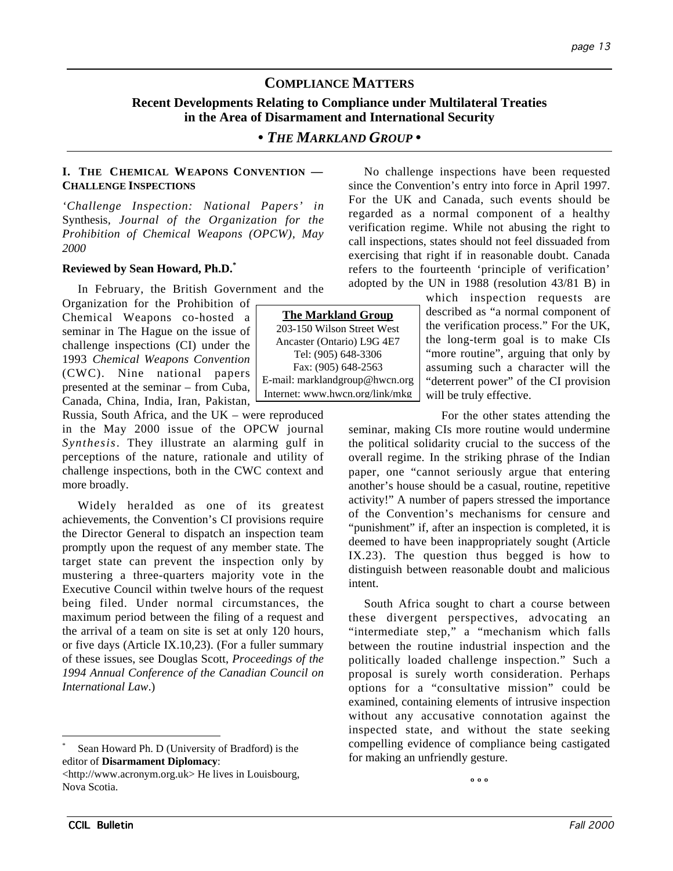# **COMPLIANCE MATTERS**

## **Recent Developments Relating to Compliance under Multilateral Treaties in the Area of Disarmament and International Security**

## *• THE MARKLAND GROUP •*

### **I. THE CHEMICAL WEAPONS CONVENTION — CHALLENGE INSPECTIONS**

*'Challenge Inspection: National Papers' in* Synthesis*, Journal of the Organization for the Prohibition of Chemical Weapons (OPCW), May 2000*

### **Reviewed by Sean Howard, Ph.D.\***

In February, the British Government and the

Organization for the Prohibition of Chemical Weapons co-hosted a seminar in The Hague on the issue of challenge inspections (CI) under the 1993 *Chemical Weapons Convention* (CWC). Nine national papers presented at the seminar – from Cuba, Canada, China, India, Iran, Pakistan,

Russia, South Africa, and the UK – were reproduced in the May 2000 issue of the OPCW journal *Synthesis*. They illustrate an alarming gulf in perceptions of the nature, rationale and utility of challenge inspections, both in the CWC context and more broadly.

Widely heralded as one of its greatest achievements, the Convention's CI provisions require the Director General to dispatch an inspection team promptly upon the request of any member state. The target state can prevent the inspection only by mustering a three-quarters majority vote in the Executive Council within twelve hours of the request being filed. Under normal circumstances, the maximum period between the filing of a request and the arrival of a team on site is set at only 120 hours, or five days (Article IX.10,23). (For a fuller summary of these issues, see Douglas Scott, *Proceedings of the 1994 Annual Conference of the Canadian Council on International Law*.)

No challenge inspections have been requested since the Convention's entry into force in April 1997. For the UK and Canada, such events should be regarded as a normal component of a healthy verification regime. While not abusing the right to call inspections, states should not feel dissuaded from exercising that right if in reasonable doubt. Canada refers to the fourteenth 'principle of verification' adopted by the UN in 1988 (resolution 43/81 B) in

which inspection requests are described as "a normal component of the verification process." For the UK, the long-term goal is to make CIs "more routine", arguing that only by assuming such a character will the "deterrent power" of the CI provision will be truly effective.

For the other states attending the seminar, making CIs more routine would undermine the political solidarity crucial to the success of the overall regime. In the striking phrase of the Indian paper, one "cannot seriously argue that entering another's house should be a casual, routine, repetitive activity!" A number of papers stressed the importance of the Convention's mechanisms for censure and "punishment" if, after an inspection is completed, it is deemed to have been inappropriately sought (Article IX.23). The question thus begged is how to distinguish between reasonable doubt and malicious intent.

South Africa sought to chart a course between these divergent perspectives, advocating an "intermediate step," a "mechanism which falls between the routine industrial inspection and the politically loaded challenge inspection." Such a proposal is surely worth consideration. Perhaps options for a "consultative mission" could be examined, containing elements of intrusive inspection without any accusative connotation against the inspected state, and without the state seeking compelling evidence of compliance being castigated for making an unfriendly gesture.

**º º º**



Sean Howard Ph. D (University of Bradford) is the editor of **Disarmament Diplomacy**:

<sup>&</sup>lt;http://www.acronym.org.uk> He lives in Louisbourg, Nova Scotia.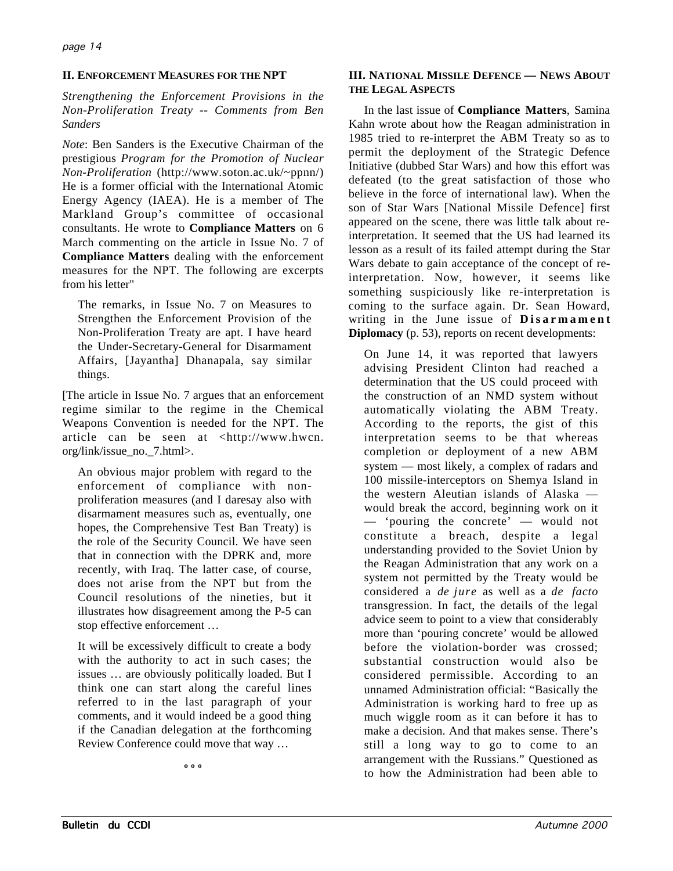## **II. ENFORCEMENT MEASURES FOR THE NPT**

*Strengthening the Enforcement Provisions in the Non-Proliferation Treaty -- Comments from Ben Sanders*

*Note*: Ben Sanders is the Executive Chairman of the prestigious *Program for the Promotion of Nuclear Non-Proliferation* (http://www.soton.ac.uk/~ppnn/) He is a former official with the International Atomic Energy Agency (IAEA). He is a member of The Markland Group's committee of occasional consultants. He wrote to **Compliance Matters** on 6 March commenting on the article in Issue No. 7 of **Compliance Matters** dealing with the enforcement measures for the NPT. The following are excerpts from his letter"

The remarks, in Issue No. 7 on Measures to Strengthen the Enforcement Provision of the Non-Proliferation Treaty are apt. I have heard the Under-Secretary-General for Disarmament Affairs, [Jayantha] Dhanapala, say similar things.

[The article in Issue No. 7 argues that an enforcement regime similar to the regime in the Chemical Weapons Convention is needed for the NPT. The article can be seen at <http://www.hwcn. org/link/issue\_no.\_7.html>.

An obvious major problem with regard to the enforcement of compliance with nonproliferation measures (and I daresay also with disarmament measures such as, eventually, one hopes, the Comprehensive Test Ban Treaty) is the role of the Security Council. We have seen that in connection with the DPRK and, more recently, with Iraq. The latter case, of course, does not arise from the NPT but from the Council resolutions of the nineties, but it illustrates how disagreement among the P-5 can stop effective enforcement …

It will be excessively difficult to create a body with the authority to act in such cases; the issues … are obviously politically loaded. But I think one can start along the careful lines referred to in the last paragraph of your comments, and it would indeed be a good thing if the Canadian delegation at the forthcoming Review Conference could move that way …

**º º º**

## **III. NATIONAL MISSILE DEFENCE — NEWS ABOUT THE LEGAL ASPECTS**

In the last issue of **Compliance Matters**, Samina Kahn wrote about how the Reagan administration in 1985 tried to re-interpret the ABM Treaty so as to permit the deployment of the Strategic Defence Initiative (dubbed Star Wars) and how this effort was defeated (to the great satisfaction of those who believe in the force of international law). When the son of Star Wars [National Missile Defence] first appeared on the scene, there was little talk about reinterpretation. It seemed that the US had learned its lesson as a result of its failed attempt during the Star Wars debate to gain acceptance of the concept of reinterpretation. Now, however, it seems like something suspiciously like re-interpretation is coming to the surface again. Dr. Sean Howard, writing in the June issue of **Disarmament Diplomacy** (p. 53), reports on recent developments:

On June 14, it was reported that lawyers advising President Clinton had reached a determination that the US could proceed with the construction of an NMD system without automatically violating the ABM Treaty. According to the reports, the gist of this interpretation seems to be that whereas completion or deployment of a new ABM system — most likely, a complex of radars and 100 missile-interceptors on Shemya Island in the western Aleutian islands of Alaska would break the accord, beginning work on it — 'pouring the concrete' — would not constitute a breach, despite a legal understanding provided to the Soviet Union by the Reagan Administration that any work on a system not permitted by the Treaty would be considered a *de jure* as well as a *de facto* transgression. In fact, the details of the legal advice seem to point to a view that considerably more than 'pouring concrete' would be allowed before the violation-border was crossed; substantial construction would also be considered permissible. According to an unnamed Administration official: "Basically the Administration is working hard to free up as much wiggle room as it can before it has to make a decision. And that makes sense. There's still a long way to go to come to an arrangement with the Russians." Questioned as to how the Administration had been able to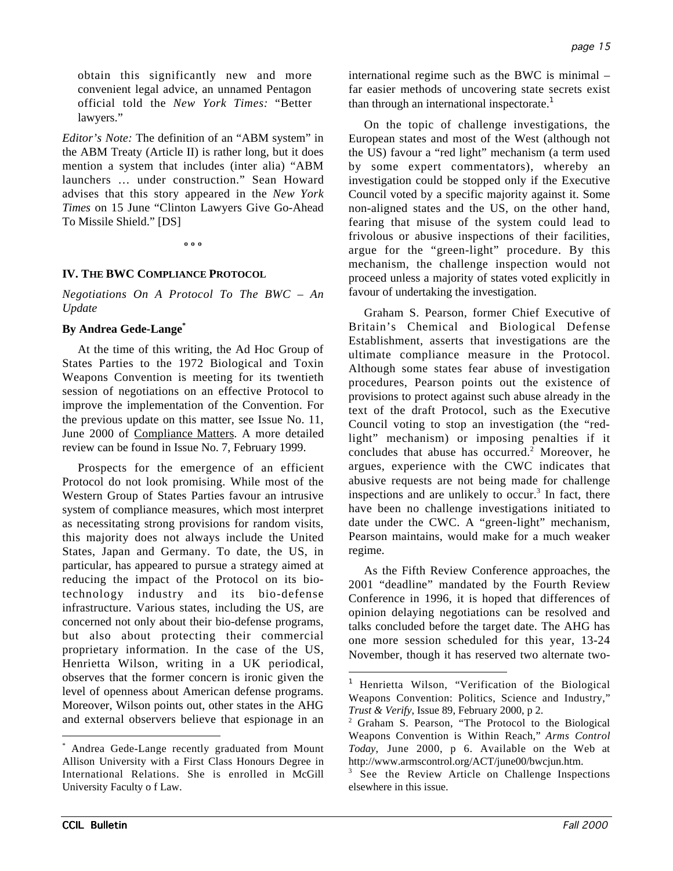obtain this significantly new and more convenient legal advice, an unnamed Pentagon official told the *New York Times:* "Better lawyers."

*Editor's Note:* The definition of an "ABM system" in the ABM Treaty (Article II) is rather long, but it does mention a system that includes (inter alia) "ABM launchers … under construction." Sean Howard advises that this story appeared in the *New York Times* on 15 June "Clinton Lawyers Give Go-Ahead To Missile Shield." [DS]

**º º º**

### **IV. THE BWC COMPLIANCE PROTOCOL**

*Negotiations On A Protocol To The BWC – An Update*

#### **By Andrea Gede-Lange\***

At the time of this writing, the Ad Hoc Group of States Parties to the 1972 Biological and Toxin Weapons Convention is meeting for its twentieth session of negotiations on an effective Protocol to improve the implementation of the Convention. For the previous update on this matter, see Issue No. 11, June 2000 of Compliance Matters. A more detailed review can be found in Issue No. 7, February 1999.

Prospects for the emergence of an efficient Protocol do not look promising. While most of the Western Group of States Parties favour an intrusive system of compliance measures, which most interpret as necessitating strong provisions for random visits, this majority does not always include the United States, Japan and Germany. To date, the US, in particular, has appeared to pursue a strategy aimed at reducing the impact of the Protocol on its biotechnology industry and its bio-defense infrastructure. Various states, including the US, are concerned not only about their bio-defense programs, but also about protecting their commercial proprietary information. In the case of the US, Henrietta Wilson, writing in a UK periodical, observes that the former concern is ironic given the level of openness about American defense programs. Moreover, Wilson points out, other states in the AHG and external observers believe that espionage in an international regime such as the BWC is minimal – far easier methods of uncovering state secrets exist than through an international inspectorate.<sup>1</sup>

On the topic of challenge investigations, the European states and most of the West (although not the US) favour a "red light" mechanism (a term used by some expert commentators), whereby an investigation could be stopped only if the Executive Council voted by a specific majority against it. Some non-aligned states and the US, on the other hand, fearing that misuse of the system could lead to frivolous or abusive inspections of their facilities, argue for the "green-light" procedure. By this mechanism, the challenge inspection would not proceed unless a majority of states voted explicitly in favour of undertaking the investigation.

Graham S. Pearson, former Chief Executive of Britain's Chemical and Biological Defense Establishment, asserts that investigations are the ultimate compliance measure in the Protocol. Although some states fear abuse of investigation procedures, Pearson points out the existence of provisions to protect against such abuse already in the text of the draft Protocol, such as the Executive Council voting to stop an investigation (the "redlight" mechanism) or imposing penalties if it concludes that abuse has occurred. $2$  Moreover, he argues, experience with the CWC indicates that abusive requests are not being made for challenge inspections and are unlikely to occur.<sup>3</sup> In fact, there have been no challenge investigations initiated to date under the CWC. A "green-light" mechanism, Pearson maintains, would make for a much weaker regime.

As the Fifth Review Conference approaches, the 2001 "deadline" mandated by the Fourth Review Conference in 1996, it is hoped that differences of opinion delaying negotiations can be resolved and talks concluded before the target date. The AHG has one more session scheduled for this year, 13-24 November, though it has reserved two alternate two-

 $\overline{a}$ 

 <sup>\*</sup> Andrea Gede-Lange recently graduated from Mount Allison University with a First Class Honours Degree in International Relations. She is enrolled in McGill University Faculty o f Law.

<sup>&</sup>lt;sup>1</sup> Henrietta Wilson, "Verification of the Biological Weapons Convention: Politics, Science and Industry," *Trust & Verify*, Issue 89, February 2000, p 2.

<sup>&</sup>lt;sup>2</sup> Graham S. Pearson, "The Protocol to the Biological Weapons Convention is Within Reach," *Arms Control Today*, June 2000, p 6. Available on the Web at http://www.armscontrol.org/ACT/june00/bwcjun.htm.

<sup>3</sup> See the Review Article on Challenge Inspections elsewhere in this issue.